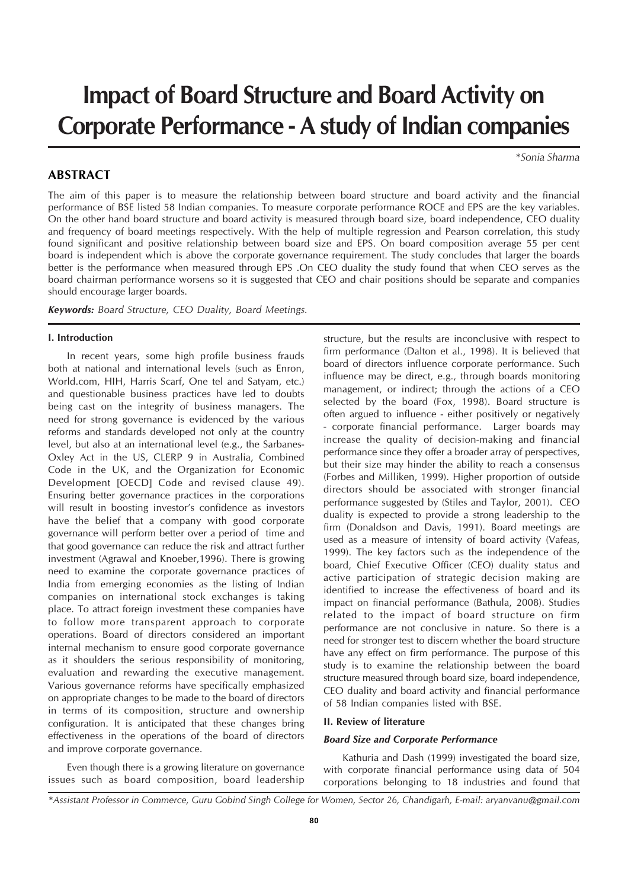# **Impact of Board Structure and Board Activity on Corporate Performance - A study of Indian companies**

*\*Sonia Sharma*

### **ABSTRACT**

The aim of this paper is to measure the relationship between board structure and board activity and the financial performance of BSE listed 58 Indian companies. To measure corporate performance ROCE and EPS are the key variables. On the other hand board structure and board activity is measured through board size, board independence, CEO duality and frequency of board meetings respectively. With the help of multiple regression and Pearson correlation, this study found significant and positive relationship between board size and EPS. On board composition average 55 per cent board is independent which is above the corporate governance requirement. The study concludes that larger the boards better is the performance when measured through EPS .On CEO duality the study found that when CEO serves as the board chairman performance worsens so it is suggested that CEO and chair positions should be separate and companies should encourage larger boards.

*Keywords: Board Structure, CEO Duality, Board Meetings.*

#### **I. Introduction**

In recent years, some high profile business frauds both at national and international levels (such as Enron, World.com, HIH, Harris Scarf, One tel and Satyam, etc.) and questionable business practices have led to doubts being cast on the integrity of business managers. The need for strong governance is evidenced by the various reforms and standards developed not only at the country level, but also at an international level (e.g., the Sarbanes-Oxley Act in the US, CLERP 9 in Australia, Combined Code in the UK, and the Organization for Economic Development [OECD] Code and revised clause 49). Ensuring better governance practices in the corporations will result in boosting investor's confidence as investors have the belief that a company with good corporate governance will perform better over a period of time and that good governance can reduce the risk and attract further investment (Agrawal and Knoeber,1996). There is growing need to examine the corporate governance practices of India from emerging economies as the listing of Indian companies on international stock exchanges is taking place. To attract foreign investment these companies have to follow more transparent approach to corporate operations. Board of directors considered an important internal mechanism to ensure good corporate governance as it shoulders the serious responsibility of monitoring, evaluation and rewarding the executive management. Various governance reforms have specifically emphasized on appropriate changes to be made to the board of directors in terms of its composition, structure and ownership configuration. It is anticipated that these changes bring effectiveness in the operations of the board of directors and improve corporate governance.

Even though there is a growing literature on governance issues such as board composition, board leadership structure, but the results are inconclusive with respect to firm performance (Dalton et al., 1998). It is believed that board of directors influence corporate performance. Such influence may be direct, e.g., through boards monitoring management, or indirect; through the actions of a CEO selected by the board (Fox, 1998). Board structure is often argued to influence - either positively or negatively - corporate financial performance. Larger boards may increase the quality of decision-making and financial performance since they offer a broader array of perspectives, but their size may hinder the ability to reach a consensus (Forbes and Milliken, 1999). Higher proportion of outside directors should be associated with stronger financial performance suggested by (Stiles and Taylor, 2001). CEO duality is expected to provide a strong leadership to the firm (Donaldson and Davis, 1991). Board meetings are used as a measure of intensity of board activity (Vafeas, 1999). The key factors such as the independence of the board, Chief Executive Officer (CEO) duality status and active participation of strategic decision making are identified to increase the effectiveness of board and its impact on financial performance (Bathula, 2008). Studies related to the impact of board structure on firm performance are not conclusive in nature. So there is a need for stronger test to discern whether the board structure have any effect on firm performance. The purpose of this study is to examine the relationship between the board structure measured through board size, board independence, CEO duality and board activity and financial performance of 58 Indian companies listed with BSE.

## **II. Review of literature**

#### *Board Size and Corporate Performance*

Kathuria and Dash (1999) investigated the board size, with corporate financial performance using data of 504 corporations belonging to 18 industries and found that

*<sup>\*</sup>Assistant Professor in Commerce, Guru Gobind Singh College for Women, Sector 26, Chandigarh, E-mail: aryanvanu@gmail.com*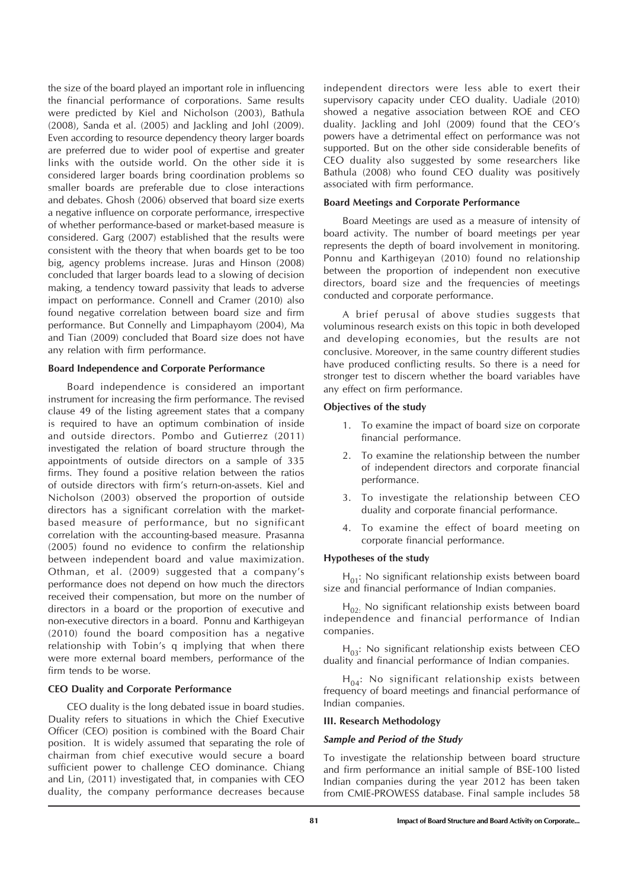the size of the board played an important role in influencing the financial performance of corporations. Same results were predicted by Kiel and Nicholson (2003), Bathula (2008), Sanda et al. (2005) and Jackling and Johl (2009). Even according to resource dependency theory larger boards are preferred due to wider pool of expertise and greater links with the outside world. On the other side it is considered larger boards bring coordination problems so smaller boards are preferable due to close interactions and debates. Ghosh (2006) observed that board size exerts a negative influence on corporate performance, irrespective of whether performance-based or market-based measure is considered. Garg (2007) established that the results were consistent with the theory that when boards get to be too big, agency problems increase. Juras and Hinson (2008) concluded that larger boards lead to a slowing of decision making, a tendency toward passivity that leads to adverse impact on performance. Connell and Cramer (2010) also found negative correlation between board size and firm performance. But Connelly and Limpaphayom (2004), Ma and Tian (2009) concluded that Board size does not have any relation with firm performance.

#### **Board Independence and Corporate Performance**

Board independence is considered an important instrument for increasing the firm performance. The revised clause 49 of the listing agreement states that a company is required to have an optimum combination of inside and outside directors. Pombo and Gutierrez (2011) investigated the relation of board structure through the appointments of outside directors on a sample of 335 firms. They found a positive relation between the ratios of outside directors with firm's return-on-assets. Kiel and Nicholson (2003) observed the proportion of outside directors has a significant correlation with the marketbased measure of performance, but no significant correlation with the accounting-based measure. Prasanna (2005) found no evidence to confirm the relationship between independent board and value maximization. Othman, et al. (2009) suggested that a company's performance does not depend on how much the directors received their compensation, but more on the number of directors in a board or the proportion of executive and non-executive directors in a board. Ponnu and Karthigeyan (2010) found the board composition has a negative relationship with Tobin's q implying that when there were more external board members, performance of the firm tends to be worse.

#### **CEO Duality and Corporate Performance**

CEO duality is the long debated issue in board studies. Duality refers to situations in which the Chief Executive Officer (CEO) position is combined with the Board Chair position. It is widely assumed that separating the role of chairman from chief executive would secure a board sufficient power to challenge CEO dominance. Chiang and Lin, (2011) investigated that, in companies with CEO duality, the company performance decreases because

independent directors were less able to exert their supervisory capacity under CEO duality. Uadiale (2010) showed a negative association between ROE and CEO duality. Jackling and Johl (2009) found that the CEO's powers have a detrimental effect on performance was not supported. But on the other side considerable benefits of CEO duality also suggested by some researchers like Bathula (2008) who found CEO duality was positively associated with firm performance.

#### **Board Meetings and Corporate Performance**

Board Meetings are used as a measure of intensity of board activity. The number of board meetings per year represents the depth of board involvement in monitoring. Ponnu and Karthigeyan (2010) found no relationship between the proportion of independent non executive directors, board size and the frequencies of meetings conducted and corporate performance.

A brief perusal of above studies suggests that voluminous research exists on this topic in both developed and developing economies, but the results are not conclusive. Moreover, in the same country different studies have produced conflicting results. So there is a need for stronger test to discern whether the board variables have any effect on firm performance.

#### **Objectives of the study**

- 1. To examine the impact of board size on corporate financial performance.
- 2. To examine the relationship between the number of independent directors and corporate financial performance.
- 3. To investigate the relationship between CEO duality and corporate financial performance.
- 4. To examine the effect of board meeting on corporate financial performance.

#### **Hypotheses of the study**

 $H_{01}$ : No significant relationship exists between board size and financial performance of Indian companies.

 $H<sub>02</sub>$ : No significant relationship exists between board independence and financial performance of Indian companies.

 $H_{03}$ : No significant relationship exists between CEO duality and financial performance of Indian companies.

 $H_{04}$ : No significant relationship exists between frequency of board meetings and financial performance of Indian companies.

#### **III. Research Methodology**

#### *Sample and Period of the Study*

To investigate the relationship between board structure and firm performance an initial sample of BSE-100 listed Indian companies during the year 2012 has been taken from CMIE-PROWESS database. Final sample includes 58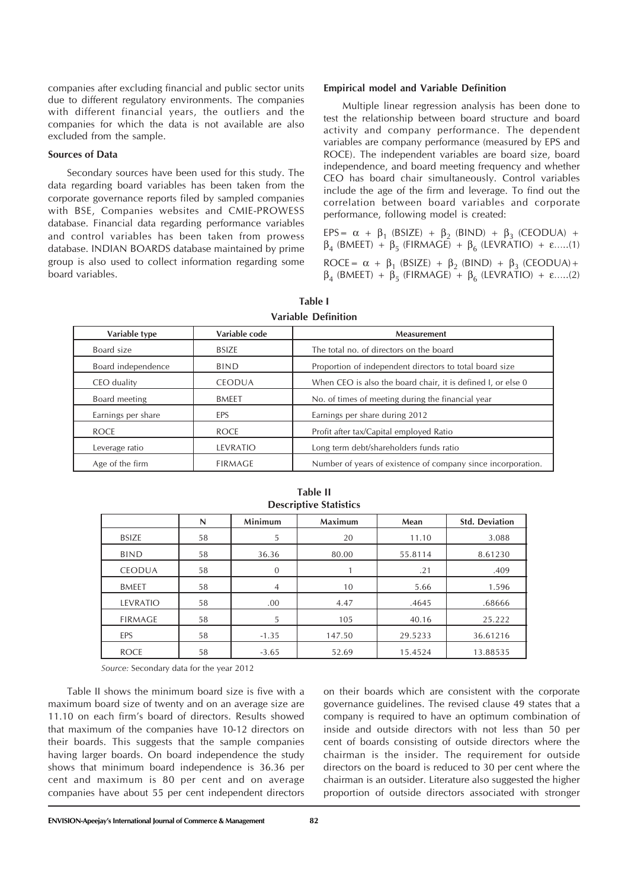companies after excluding financial and public sector units due to different regulatory environments. The companies with different financial years, the outliers and the companies for which the data is not available are also excluded from the sample.

#### **Sources of Data**

Secondary sources have been used for this study. The data regarding board variables has been taken from the corporate governance reports filed by sampled companies with BSE, Companies websites and CMIE-PROWESS database. Financial data regarding performance variables and control variables has been taken from prowess database. INDIAN BOARDS database maintained by prime group is also used to collect information regarding some board variables.

#### **Empirical model and Variable Definition**

Multiple linear regression analysis has been done to test the relationship between board structure and board activity and company performance. The dependent variables are company performance (measured by EPS and ROCE). The independent variables are board size, board independence, and board meeting frequency and whether CEO has board chair simultaneously. Control variables include the age of the firm and leverage. To find out the correlation between board variables and corporate performance, following model is created:

EPS =  $\alpha$  +  $\beta_1$  (BSIZE) +  $\beta_2$  (BIND) +  $\beta_3$  (CEODUA) +  $β_4$  (BMEET) +  $β_5$  (FIRMAGE) +  $β_6$  (LEVRATIO) + ε.....(1) ROCE =  $\alpha$  +  $\beta_1$  (BSIZE) +  $\beta_2$  (BIND) +  $\beta_3$  (CEODUA)+  $\beta_4$  (BMEET) +  $\beta_5$  (FIRMAGE) +  $\beta_6$  (LEVRATIO) + ε.....(2)

| Variable type      | Variable code  | <b>Measurement</b>                                           |  |  |  |  |
|--------------------|----------------|--------------------------------------------------------------|--|--|--|--|
| Board size         | <b>BSIZE</b>   | The total no. of directors on the board                      |  |  |  |  |
| Board independence | <b>BIND</b>    | Proportion of independent directors to total board size      |  |  |  |  |
| CEO duality        | <b>CEODUA</b>  | When CEO is also the board chair, it is defined I, or else 0 |  |  |  |  |
| Board meeting      | <b>BMEET</b>   | No. of times of meeting during the financial year            |  |  |  |  |
| Earnings per share | EPS            | Earnings per share during 2012                               |  |  |  |  |
| <b>ROCE</b>        | <b>ROCE</b>    | Profit after tax/Capital employed Ratio                      |  |  |  |  |
| Leverage ratio     | LEVRATIO       | Long term debt/shareholders funds ratio                      |  |  |  |  |
| Age of the firm    | <b>FIRMAGE</b> | Number of years of existence of company since incorporation. |  |  |  |  |

| Table I<br>Variable Definition |  |  |
|--------------------------------|--|--|
|                                |  |  |

| <b>Descriptive Statistics</b> |    |                |                |         |                       |  |  |  |
|-------------------------------|----|----------------|----------------|---------|-----------------------|--|--|--|
|                               | N  | Minimum        | <b>Maximum</b> | Mean    | <b>Std. Deviation</b> |  |  |  |
| <b>BSIZE</b>                  | 58 | 5              | 20             | 11.10   | 3.088                 |  |  |  |
| <b>BIND</b>                   | 58 | 36.36          | 80.00          | 55.8114 |                       |  |  |  |
| <b>CEODUA</b>                 | 58 | $\mathbf{0}$   |                | .21     | .409                  |  |  |  |
| <b>BMEET</b>                  | 58 | $\overline{4}$ | 10             | 5.66    | 1.596                 |  |  |  |
| LEVRATIO                      | 58 | .00            | 4.47           | .4645   | .68666                |  |  |  |
| <b>FIRMAGE</b>                | 58 | 5              | 105            | 40.16   | 25.222                |  |  |  |
| EPS                           | 58 | $-1.35$        | 147.50         | 29.5233 | 36.61216              |  |  |  |
| <b>ROCE</b>                   | 58 | $-3.65$        | 52.69          | 15.4524 | 13.88535              |  |  |  |

# **Table II**

*Source:* Secondary data for the year 2012

Table II shows the minimum board size is five with a maximum board size of twenty and on an average size are 11.10 on each firm's board of directors. Results showed that maximum of the companies have 10-12 directors on their boards. This suggests that the sample companies having larger boards. On board independence the study shows that minimum board independence is 36.36 per cent and maximum is 80 per cent and on average companies have about 55 per cent independent directors

on their boards which are consistent with the corporate governance guidelines. The revised clause 49 states that a company is required to have an optimum combination of inside and outside directors with not less than 50 per cent of boards consisting of outside directors where the chairman is the insider. The requirement for outside directors on the board is reduced to 30 per cent where the chairman is an outsider. Literature also suggested the higher proportion of outside directors associated with stronger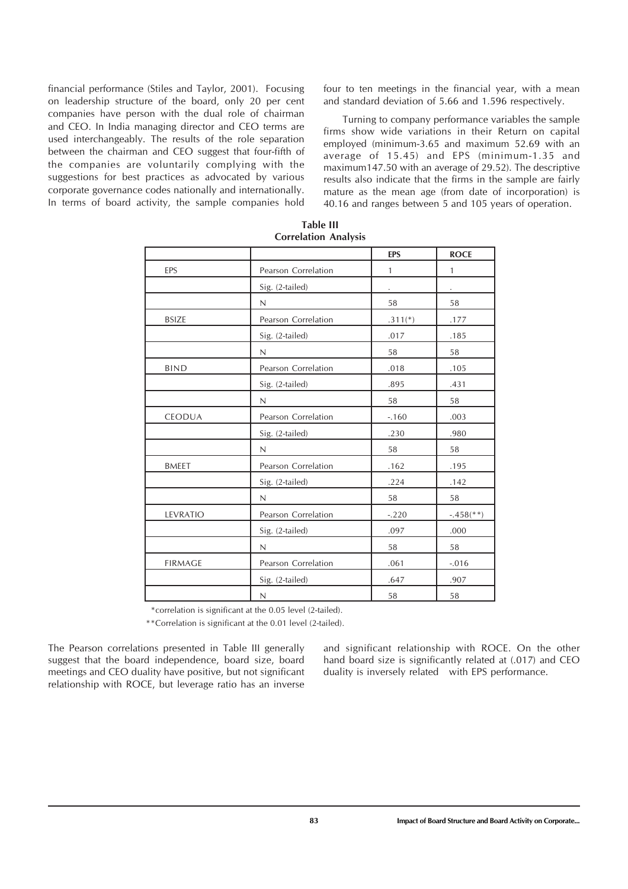financial performance (Stiles and Taylor, 2001). Focusing on leadership structure of the board, only 20 per cent companies have person with the dual role of chairman and CEO. In India managing director and CEO terms are used interchangeably. The results of the role separation between the chairman and CEO suggest that four-fifth of the companies are voluntarily complying with the suggestions for best practices as advocated by various corporate governance codes nationally and internationally. In terms of board activity, the sample companies hold

four to ten meetings in the financial year, with a mean and standard deviation of 5.66 and 1.596 respectively.

Turning to company performance variables the sample firms show wide variations in their Return on capital employed (minimum-3.65 and maximum 52.69 with an average of 15.45) and EPS (minimum-1.35 and maximum147.50 with an average of 29.52). The descriptive results also indicate that the firms in the sample are fairly mature as the mean age (from date of incorporation) is 40.16 and ranges between 5 and 105 years of operation.

|                |                     | <b>EPS</b>   | <b>ROCE</b>             |
|----------------|---------------------|--------------|-------------------------|
| EPS            | Pearson Correlation | $\mathbf{1}$ | $\mathbf{1}$            |
|                | Sig. (2-tailed)     |              |                         |
|                | $\mathbb N$         | 58           | 58                      |
| <b>BSIZE</b>   | Pearson Correlation | $.311(*)$    | .177                    |
|                | Sig. (2-tailed)     | .017         | .185                    |
|                | N                   | 58           | 58                      |
| <b>BIND</b>    | Pearson Correlation | .018         | .105                    |
|                | Sig. (2-tailed)     | .895         | .431                    |
|                | $\mathsf{N}$        | 58           | 58                      |
| <b>CEODUA</b>  | Pearson Correlation | $-160$       | .003                    |
|                | Sig. (2-tailed)     | .230         | .980                    |
|                | N                   | 58           | 58                      |
| <b>BMEET</b>   | Pearson Correlation | .162         | .195                    |
|                | Sig. (2-tailed)     | .224         | .142                    |
|                | N                   | 58           | 58                      |
| LEVRATIO       | Pearson Correlation | $-.220$      | $-.458$ <sup>**</sup> ) |
|                | Sig. (2-tailed)     | .097         | .000                    |
|                | N                   | 58           | 58                      |
| <b>FIRMAGE</b> | Pearson Correlation | .061         | $-.016$                 |
|                | Sig. (2-tailed)     | .647         | .907                    |
|                | $\mathsf N$         | 58           | 58                      |

**Table III Correlation Analysis**

\*correlation is significant at the 0.05 level (2-tailed).

\*\*Correlation is significant at the 0.01 level (2-tailed).

The Pearson correlations presented in Table III generally suggest that the board independence, board size, board meetings and CEO duality have positive, but not significant relationship with ROCE, but leverage ratio has an inverse

and significant relationship with ROCE. On the other hand board size is significantly related at (.017) and CEO duality is inversely related with EPS performance.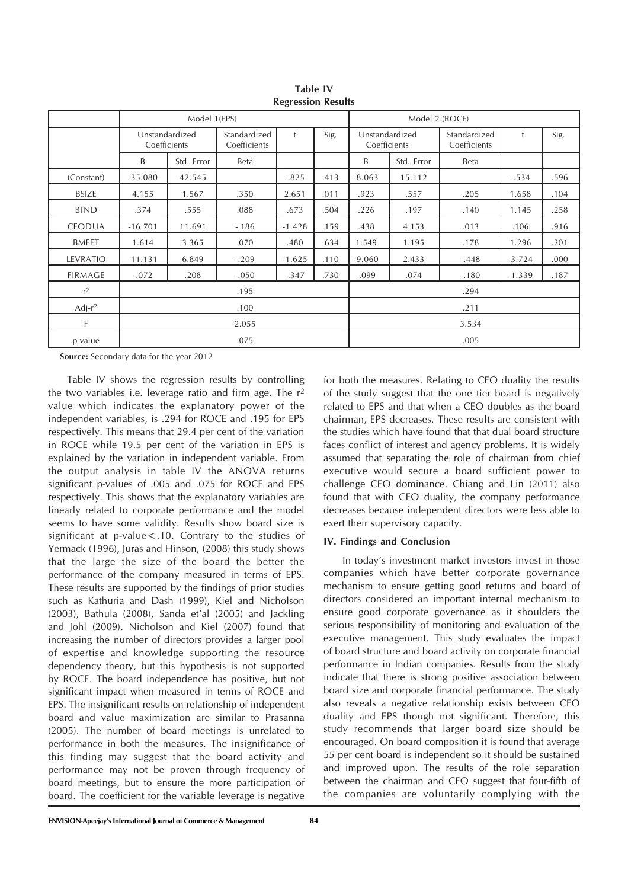| RUSI USSIOIT RUSUITS |                                |              |                              |            |      |                                |            |                              |          |      |
|----------------------|--------------------------------|--------------|------------------------------|------------|------|--------------------------------|------------|------------------------------|----------|------|
|                      |                                | Model 1(EPS) |                              |            |      | Model 2 (ROCE)                 |            |                              |          |      |
|                      | Unstandardized<br>Coefficients |              | Standardized<br>Coefficients | $\ddagger$ | Sig. | Unstandardized<br>Coefficients |            | Standardized<br>Coefficients |          | Sig. |
|                      | B                              | Std. Error   | Beta                         |            |      | B                              | Std. Error | Beta                         |          |      |
| (Constant)           | $-35.080$                      | 42.545       |                              | $-.825$    | .413 | $-8.063$                       | 15.112     |                              | $-.534$  | .596 |
| <b>BSIZE</b>         | 4.155                          | 1.567        | .350                         | 2.651      | .011 | .923                           | .557       | .205                         | 1.658    | .104 |
| <b>BIND</b>          | .374                           | .555         | .088                         | .673       | .504 | .226                           | .197       | .140                         | 1.145    | .258 |
| <b>CEODUA</b>        | $-16.701$                      | 11.691       | $-186$                       | $-1.428$   | .159 | .438                           | 4.153      | .013                         | .106     | .916 |
| <b>BMEET</b>         | 1.614                          | 3.365        | .070                         | .480       | .634 | 1.549                          | 1.195      | .178                         | 1.296    | .201 |
| LEVRATIO             | $-11.131$                      | 6.849        | $-.209$                      | $-1.625$   | .110 | $-9.060$                       | 2.433      | $-.448$                      | $-3.724$ | .000 |
| <b>FIRMAGE</b>       | $-.072$                        | .208         | $-.050$                      | $-.347$    | .730 | $-.099$                        | .074       | $-180$                       | $-1.339$ | .187 |
| r <sup>2</sup>       |                                |              | .195                         |            |      |                                |            | .294                         |          |      |
| $Adj-r^2$            | .100                           |              |                              | .211       |      |                                |            |                              |          |      |
| F                    | 2.055                          |              |                              | 3.534      |      |                                |            |                              |          |      |
| p value              | .075                           |              |                              | .005       |      |                                |            |                              |          |      |

**Table IV Regression Results**

**Source:** Secondary data for the year 2012

Table IV shows the regression results by controlling the two variables i.e. leverage ratio and firm age. The  $r^2$ value which indicates the explanatory power of the independent variables, is .294 for ROCE and .195 for EPS respectively. This means that 29.4 per cent of the variation in ROCE while 19.5 per cent of the variation in EPS is explained by the variation in independent variable. From the output analysis in table IV the ANOVA returns significant p-values of .005 and .075 for ROCE and EPS respectively. This shows that the explanatory variables are linearly related to corporate performance and the model seems to have some validity. Results show board size is significant at p-value<.10. Contrary to the studies of Yermack (1996), Juras and Hinson, (2008) this study shows that the large the size of the board the better the performance of the company measured in terms of EPS. These results are supported by the findings of prior studies such as Kathuria and Dash (1999), Kiel and Nicholson (2003), Bathula (2008), Sanda et'al (2005) and Jackling and Johl (2009). Nicholson and Kiel (2007) found that increasing the number of directors provides a larger pool of expertise and knowledge supporting the resource dependency theory, but this hypothesis is not supported by ROCE. The board independence has positive, but not significant impact when measured in terms of ROCE and EPS. The insignificant results on relationship of independent board and value maximization are similar to Prasanna (2005). The number of board meetings is unrelated to performance in both the measures. The insignificance of this finding may suggest that the board activity and performance may not be proven through frequency of board meetings, but to ensure the more participation of board. The coefficient for the variable leverage is negative

for both the measures. Relating to CEO duality the results of the study suggest that the one tier board is negatively related to EPS and that when a CEO doubles as the board chairman, EPS decreases. These results are consistent with the studies which have found that that dual board structure faces conflict of interest and agency problems. It is widely assumed that separating the role of chairman from chief executive would secure a board sufficient power to challenge CEO dominance. Chiang and Lin (2011) also found that with CEO duality, the company performance decreases because independent directors were less able to exert their supervisory capacity.

#### **IV. Findings and Conclusion**

In today's investment market investors invest in those companies which have better corporate governance mechanism to ensure getting good returns and board of directors considered an important internal mechanism to ensure good corporate governance as it shoulders the serious responsibility of monitoring and evaluation of the executive management. This study evaluates the impact of board structure and board activity on corporate financial performance in Indian companies. Results from the study indicate that there is strong positive association between board size and corporate financial performance. The study also reveals a negative relationship exists between CEO duality and EPS though not significant. Therefore, this study recommends that larger board size should be encouraged. On board composition it is found that average 55 per cent board is independent so it should be sustained and improved upon. The results of the role separation between the chairman and CEO suggest that four-fifth of the companies are voluntarily complying with the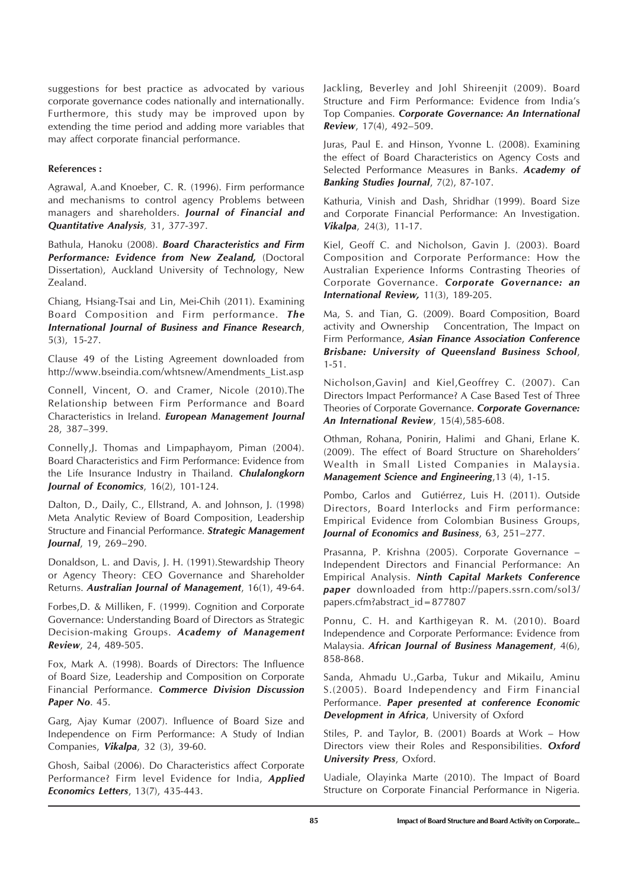suggestions for best practice as advocated by various corporate governance codes nationally and internationally. Furthermore, this study may be improved upon by extending the time period and adding more variables that may affect corporate financial performance.

#### **References :**

Agrawal, A.and Knoeber, C. R. (1996). Firm performance and mechanisms to control agency Problems between managers and shareholders. *Journal of Financial and Quantitative Analysis*, 31, 377-397.

Bathula, Hanoku (2008). *Board Characteristics and Firm Performance: Evidence from New Zealand,* (Doctoral Dissertation), Auckland University of Technology, New Zealand.

Chiang, Hsiang-Tsai and Lin, Mei-Chih (2011). Examining Board Composition and Firm performance. *The International Journal of Business and Finance Research*, 5(3), 15-27.

Clause 49 of the Listing Agreement downloaded from http://www.bseindia.com/whtsnew/Amendments\_List.asp

Connell, Vincent, O. and Cramer, Nicole (2010).The Relationship between Firm Performance and Board Characteristics in Ireland. *European Management Journal* 28, 387–399.

Connelly,J. Thomas and Limpaphayom, Piman (2004). Board Characteristics and Firm Performance: Evidence from the Life Insurance Industry in Thailand. *Chulalongkorn Journal of Economics*, 16(2), 101-124.

Dalton, D., Daily, C., Ellstrand, A. and Johnson, J. (1998) Meta Analytic Review of Board Composition, Leadership Structure and Financial Performance. *Strategic Management Journal*, 19, 269–290.

Donaldson, L. and Davis, J. H. (1991).Stewardship Theory or Agency Theory: CEO Governance and Shareholder Returns. *Australian Journal of Management*, 16(1), 49-64.

Forbes,D. & Milliken, F. (1999). Cognition and Corporate Governance: Understanding Board of Directors as Strategic Decision-making Groups. *Academy of Management Review*, 24, 489-505.

Fox, Mark A. (1998). Boards of Directors: The Influence of Board Size, Leadership and Composition on Corporate Financial Performance. *Commerce Division Discussion Paper No*. 45.

Garg, Ajay Kumar (2007). Influence of Board Size and Independence on Firm Performance: A Study of Indian Companies, *Vikalpa*, 32 (3), 39-60.

Ghosh, Saibal (2006). Do Characteristics affect Corporate Performance? Firm level Evidence for India, *Applied Economics Letters*, 13(7), 435-443.

Jackling, Beverley and Johl Shireenjit (2009). Board Structure and Firm Performance: Evidence from India's Top Companies. *Corporate Governance: An International Review*, 17(4), 492–509.

Juras, Paul E. and Hinson, Yvonne L. (2008). Examining the effect of Board Characteristics on Agency Costs and Selected Performance Measures in Banks. *Academy of Banking Studies Journal*, 7(2), 87-107.

Kathuria, Vinish and Dash, Shridhar (1999). Board Size and Corporate Financial Performance: An Investigation. *Vikalpa*, 24(3), 11-17.

Kiel, Geoff C. and Nicholson, Gavin J. (2003). Board Composition and Corporate Performance: How the Australian Experience Informs Contrasting Theories of Corporate Governance. *Corporate Governance: an International Review,* 11(3), 189-205.

Ma, S. and Tian, G. (2009). Board Composition, Board activity and Ownership Concentration, The Impact on Firm Performance, *Asian Finance Association Conference Brisbane: University of Queensland Business School*, 1-51.

Nicholson,GavinJ and Kiel,Geoffrey C. (2007). Can Directors Impact Performance? A Case Based Test of Three Theories of Corporate Governance. *Corporate Governance: An International Review*, 15(4),585-608.

Othman, Rohana, Ponirin, Halimi and Ghani, Erlane K. (2009). The effect of Board Structure on Shareholders' Wealth in Small Listed Companies in Malaysia. *Management Science and Engineering*,13 (4), 1-15.

Pombo, Carlos and Gutiérrez, Luis H. (2011). Outside Directors, Board Interlocks and Firm performance: Empirical Evidence from Colombian Business Groups, *Journal of Economics and Business*, 63, 251–277.

Prasanna, P. Krishna (2005). Corporate Governance – Independent Directors and Financial Performance: An Empirical Analysis. *Ninth Capital Markets Conference paper* downloaded from http://papers.ssrn.com/sol3/ papers.cfm?abstract\_id=877807

Ponnu, C. H. and Karthigeyan R. M. (2010). Board Independence and Corporate Performance: Evidence from Malaysia. *African Journal of Business Management*, 4(6), 858-868.

Sanda, Ahmadu U.,Garba, Tukur and Mikailu, Aminu S.(2005). Board Independency and Firm Financial Performance. *Paper presented at conference Economic Development in Africa*, University of Oxford

Stiles, P. and Taylor, B. (2001) Boards at Work – How Directors view their Roles and Responsibilities. *Oxford University Press*, Oxford.

Uadiale, Olayinka Marte (2010). The Impact of Board Structure on Corporate Financial Performance in Nigeria.